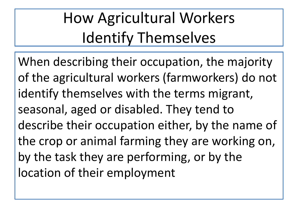## How Agricultural Workers Identify Themselves

When describing their occupation, the majority of the agricultural workers (farmworkers) do not identify themselves with the terms migrant, seasonal, aged or disabled. They tend to describe their occupation either, by the name of the crop or animal farming they are working on, by the task they are performing, or by the location of their employment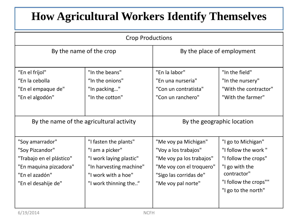## **How Agricultural Workers Identify Themselves**

| <b>Crop Productions</b>                                                                                                           |                                                                                                                                                |                                                                                                                                                      |                                                                                                                                                    |  |  |
|-----------------------------------------------------------------------------------------------------------------------------------|------------------------------------------------------------------------------------------------------------------------------------------------|------------------------------------------------------------------------------------------------------------------------------------------------------|----------------------------------------------------------------------------------------------------------------------------------------------------|--|--|
| By the name of the crop                                                                                                           |                                                                                                                                                | By the place of employment                                                                                                                           |                                                                                                                                                    |  |  |
| "En el fríjol"<br>"En la cebolla<br>"En el empaque de"<br>"En el algodón"                                                         | "In the beans"<br>"In the onions"<br>"In packing"<br>"In the cotton"                                                                           | "En la labor"<br>"En una nurseria"<br>"Con un contratista"<br>"Con un ranchero"                                                                      | "In the field"<br>"In the nursery"<br>"With the contractor"<br>"With the farmer"                                                                   |  |  |
| By the name of the agricultural activity                                                                                          |                                                                                                                                                | By the geographic location                                                                                                                           |                                                                                                                                                    |  |  |
| "Soy amarrador"<br>"Soy Pizcandor"<br>"Trabajo en el plástico"<br>"En maquina pizcadora"<br>"En el azadón"<br>"En el desahije de" | "I fasten the plants"<br>"I am a picker"<br>"I work laying plastic"<br>"In harvesting machine"<br>"I work with a hoe"<br>"I work thinning the" | "Me voy pa Michigan"<br>"Voy a los trabajos"<br>"Me voy pa los trabajos"<br>"Me voy con el troquero"<br>"Sigo las corridas de"<br>"Me voy pal norte" | "I go to Michigan"<br>"I follow the work"<br>"I follow the crops"<br>"I go with the<br>contractor"<br>"I follow the crops""<br>"I go to the north" |  |  |